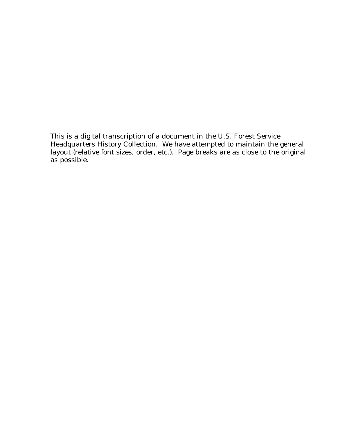This is a digital transcription of a document in the U.S. Forest Service Headquarters History Collection. We have attempted to maintain the general layout (relative font sizes, order, etc.). Page breaks are as close to the original as possible.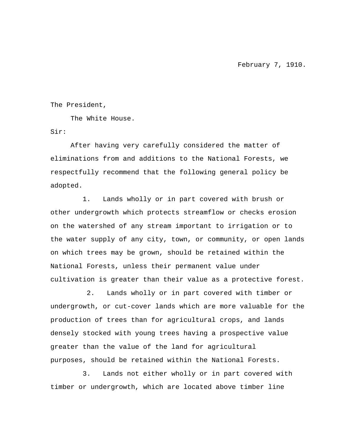February 7, 1910.

The President,

The White House.

Sir:

After having very carefully considered the matter of eliminations from and additions to the National Forests, we respectfully recommend that the following general policy be adopted.

1. Lands wholly or in part covered with brush or other undergrowth which protects streamflow or checks erosion on the watershed of any stream important to irrigation or to the water supply of any city, town, or community, or open lands on which trees may be grown, should be retained within the National Forests, unless their permanent value under cultivation is greater than their value as a protective forest.

2. Lands wholly or in part covered with timber or undergrowth, or cut-cover lands which are more valuable for the production of trees than for agricultural crops, and lands densely stocked with young trees having a prospective value greater than the value of the land for agricultural purposes, should be retained within the National Forests.

3. Lands not either wholly or in part covered with timber or undergrowth, which are located above timber line